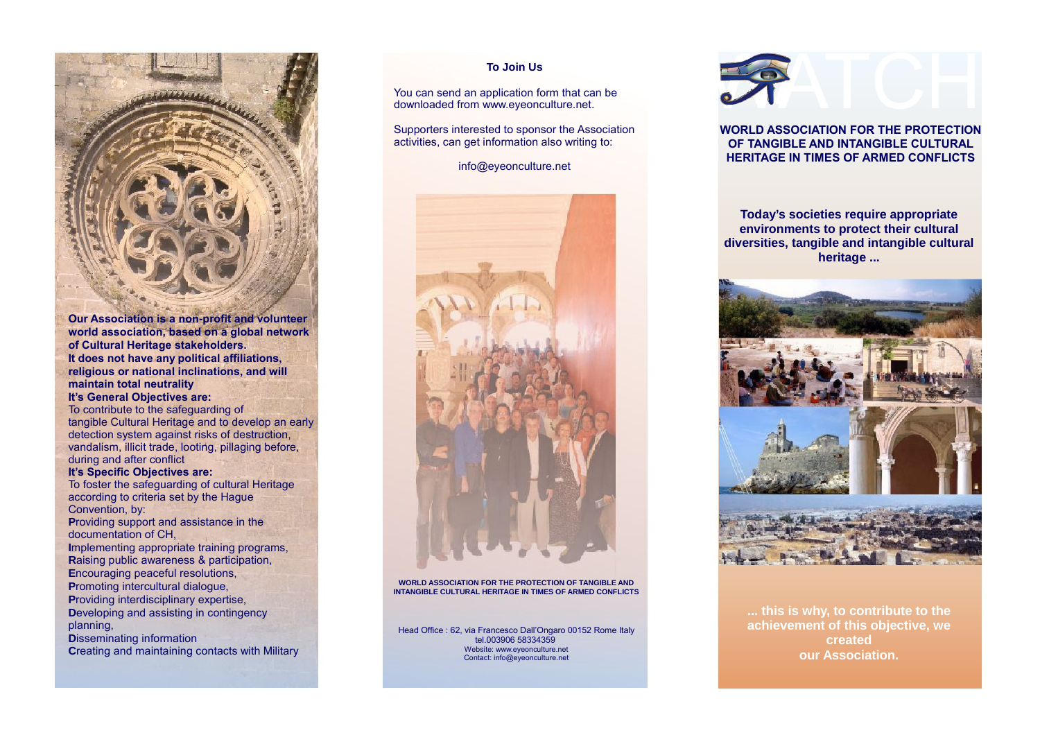

**Our Association is a non-profit and volunteer world association, based on a global network of Cultural Heritage stakeholders. It does not have any political affiliations, religious or national inclinations, and will maintain total neutrality**

## **It's General Objectives are:**

To contribute to the safeguarding of tangible Cultural Heritage and to develop an early detection system against risks of destruction, vandalism, illicit trade, looting, pillaging before, during and after conflict

#### **It's Specific Objectives are:**

To foster the safeguarding of cultural Heritage according to criteria set by the Hague Convention, by:

**P**roviding support and assistance in the documentation of CH,

**I**mplementing appropriate training programs, **R**aising public awareness & participation, **E**ncouraging peaceful resolutions, **P**romoting intercultural dialogue, **P**roviding interdisciplinary expertise,

**D**eveloping and assisting in contingency planning,

**D**isseminating information **Creating and maintaining contacts with Military** 

### **To Join Us**

You can send an application form that can be downloaded from www.eyeonculture.net.

Supporters interested to sponsor the Association activities, can get information also writing to:

info@eyeonculture.net



**WORLD ASSOCIATION FOR THE PROTECTION OF TANGIBLE AND INTANGIBLE CULTURAL HERITAGE IN TIMES OF ARMED CONFLICTS**

Head Office : 62, via Francesco Dall'Ongaro 00152 Rome Italy tel.003906 58334359 Website: www.eyeonculture.net Contact: info@eyeonculture.net



# **WORLD ASSOCIATION FOR THE PROTECTION OF TANGIBLE AND INTANGIBLE CULTURAL HERITAGE IN TIMES OF ARMED CONFLICTS**

**Today's societies require appropriate environments to protect their cultural diversities, tangible and intangible cultural heritage ...**



**... this is why, to contribute to the achievement of this objective, we created our Association.**